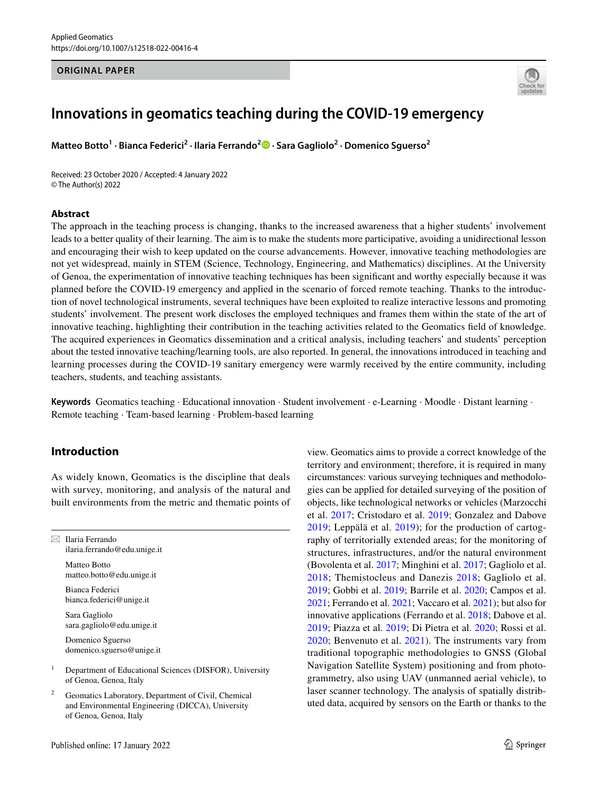#### **ORIGINAL PAPER**



# **Innovations in geomatics teaching during the COVID‑19 emergency**

**MatteoBotto<sup>1</sup> · Bianca Federici<sup>2</sup> · Ilaria Ferrando<sup>2</sup><sup>D</sup> · Sara Gagliolo<sup>2</sup> · Domenico Sguerso<sup>2</sup>** 

Received: 23 October 2020 / Accepted: 4 January 2022 © The Author(s) 2022

#### **Abstract**

The approach in the teaching process is changing, thanks to the increased awareness that a higher students' involvement leads to a better quality of their learning. The aim is to make the students more participative, avoiding a unidirectional lesson and encouraging their wish to keep updated on the course advancements. However, innovative teaching methodologies are not yet widespread, mainly in STEM (Science, Technology, Engineering, and Mathematics) disciplines. At the University of Genoa, the experimentation of innovative teaching techniques has been signifcant and worthy especially because it was planned before the COVID-19 emergency and applied in the scenario of forced remote teaching. Thanks to the introduction of novel technological instruments, several techniques have been exploited to realize interactive lessons and promoting students' involvement. The present work discloses the employed techniques and frames them within the state of the art of innovative teaching, highlighting their contribution in the teaching activities related to the Geomatics feld of knowledge. The acquired experiences in Geomatics dissemination and a critical analysis, including teachers' and students' perception about the tested innovative teaching/learning tools, are also reported. In general, the innovations introduced in teaching and learning processes during the COVID-19 sanitary emergency were warmly received by the entire community, including teachers, students, and teaching assistants.

**Keywords** Geomatics teaching · Educational innovation · Student involvement · e-Learning · Moodle · Distant learning · Remote teaching · Team-based learning · Problem-based learning

# **Introduction**

As widely known, Geomatics is the discipline that deals with survey, monitoring, and analysis of the natural and built environments from the metric and thematic points of

 $\boxtimes$  Ilaria Ferrando ilaria.ferrando@edu.unige.it

Matteo Botto matteo.botto@edu.unige.it

Bianca Federici bianca.federici@unige.it

Sara Gagliolo sara.gagliolo@edu.unige.it

Domenico Sguerso domenico.sguerso@unige.it

- <sup>1</sup> Department of Educational Sciences (DISFOR), University of Genoa, Genoa, Italy
- Geomatics Laboratory, Department of Civil, Chemical and Environmental Engineering (DICCA), University of Genoa, Genoa, Italy

view. Geomatics aims to provide a correct knowledge of the territory and environment; therefore, it is required in many circumstances: various surveying techniques and methodologies can be applied for detailed surveying of the position of objects, like technological networks or vehicles (Marzocchi et al. [2017](#page-12-0); Cristodaro et al. [2019](#page-11-0); Gonzalez and Dabove [2019;](#page-12-1) Leppälä et al. [2019](#page-12-2)); for the production of cartography of territorially extended areas; for the monitoring of structures, infrastructures, and/or the natural environment (Bovolenta et al. [2017;](#page-11-1) Minghini et al. [2017](#page-13-0); Gagliolo et al. [2018](#page-12-3); Themistocleus and Danezis [2018;](#page-13-1) Gagliolo et al. [2019](#page-12-4); Gobbi et al. [2019;](#page-12-5) Barrile et al. [2020;](#page-11-2) Campos et al. [2021](#page-11-3); Ferrando et al. [2021;](#page-12-6) Vaccaro et al. [2021](#page-13-2)); but also for innovative applications (Ferrando et al. [2018](#page-12-7); Dabove et al. [2019](#page-11-4); Piazza et al. [2019;](#page-13-3) Di Pietra et al. [2020](#page-11-5); Rossi et al. [2020;](#page-13-4) Benvenuto et al. [2021\)](#page-11-6). The instruments vary from traditional topographic methodologies to GNSS (Global Navigation Satellite System) positioning and from photogrammetry, also using UAV (unmanned aerial vehicle), to laser scanner technology. The analysis of spatially distributed data, acquired by sensors on the Earth or thanks to the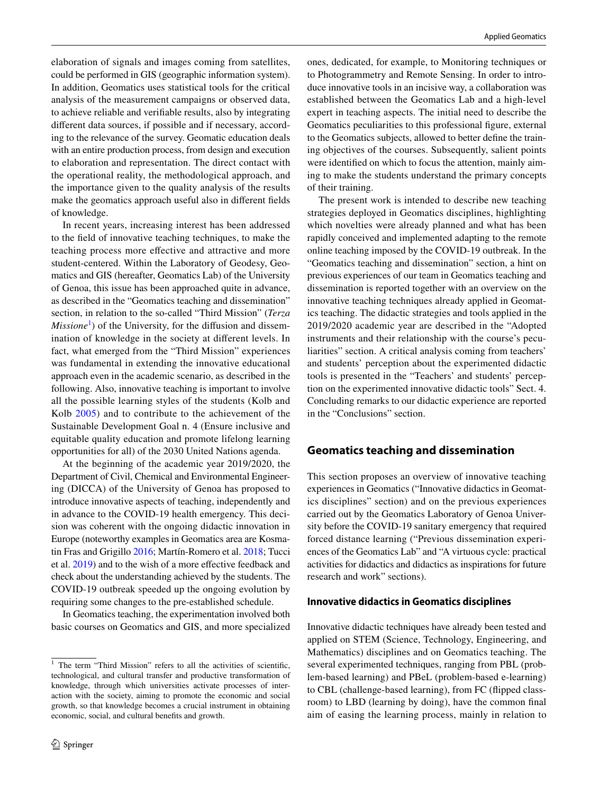elaboration of signals and images coming from satellites, could be performed in GIS (geographic information system). In addition, Geomatics uses statistical tools for the critical analysis of the measurement campaigns or observed data, to achieve reliable and verifable results, also by integrating diferent data sources, if possible and if necessary, according to the relevance of the survey. Geomatic education deals with an entire production process, from design and execution to elaboration and representation. The direct contact with the operational reality, the methodological approach, and the importance given to the quality analysis of the results make the geomatics approach useful also in diferent felds of knowledge.

In recent years, increasing interest has been addressed to the feld of innovative teaching techniques, to make the teaching process more efective and attractive and more student-centered. Within the Laboratory of Geodesy, Geomatics and GIS (hereafter, Geomatics Lab) of the University of Genoa, this issue has been approached quite in advance, as described in the "Geomatics teaching and dissemination" section, in relation to the so-called "Third Mission" (*Terza Missione*<sup>[1](#page-1-0)</sup>) of the University, for the diffusion and dissemination of knowledge in the society at diferent levels. In fact, what emerged from the "Third Mission" experiences was fundamental in extending the innovative educational approach even in the academic scenario, as described in the following. Also, innovative teaching is important to involve all the possible learning styles of the students (Kolb and Kolb [2005](#page-12-8)) and to contribute to the achievement of the Sustainable Development Goal n. 4 (Ensure inclusive and equitable quality education and promote lifelong learning opportunities for all) of the 2030 United Nations agenda.

At the beginning of the academic year 2019/2020, the Department of Civil, Chemical and Environmental Engineering (DICCA) of the University of Genoa has proposed to introduce innovative aspects of teaching, independently and in advance to the COVID-19 health emergency. This decision was coherent with the ongoing didactic innovation in Europe (noteworthy examples in Geomatics area are Kosmatin Fras and Grigillo [2016](#page-12-9); Martín-Romero et al. [2018](#page-12-10); Tucci et al. [2019](#page-13-5)) and to the wish of a more efective feedback and check about the understanding achieved by the students. The COVID-19 outbreak speeded up the ongoing evolution by requiring some changes to the pre-established schedule.

In Geomatics teaching, the experimentation involved both basic courses on Geomatics and GIS, and more specialized ones, dedicated, for example, to Monitoring techniques or to Photogrammetry and Remote Sensing. In order to introduce innovative tools in an incisive way, a collaboration was established between the Geomatics Lab and a high-level expert in teaching aspects. The initial need to describe the Geomatics peculiarities to this professional fgure, external to the Geomatics subjects, allowed to better defne the training objectives of the courses. Subsequently, salient points were identifed on which to focus the attention, mainly aiming to make the students understand the primary concepts of their training.

The present work is intended to describe new teaching strategies deployed in Geomatics disciplines, highlighting which novelties were already planned and what has been rapidly conceived and implemented adapting to the remote online teaching imposed by the COVID-19 outbreak. In the "Geomatics teaching and dissemination" section, a hint on previous experiences of our team in Geomatics teaching and dissemination is reported together with an overview on the innovative teaching techniques already applied in Geomatics teaching. The didactic strategies and tools applied in the 2019/2020 academic year are described in the "Adopted instruments and their relationship with the course's peculiarities" section. A critical analysis coming from teachers' and students' perception about the experimented didactic tools is presented in the "Teachers' and students' perception on the experimented innovative didactic tools" Sect. 4. Concluding remarks to our didactic experience are reported in the "Conclusions" section.

# **Geomatics teaching and dissemination**

This section proposes an overview of innovative teaching experiences in Geomatics ("Innovative didactics in Geomatics disciplines" section) and on the previous experiences carried out by the Geomatics Laboratory of Genoa University before the COVID-19 sanitary emergency that required forced distance learning ("Previous dissemination experiences of the Geomatics Lab" and "A virtuous cycle: practical activities for didactics and didactics as inspirations for future research and work" sections).

#### **Innovative didactics in Geomatics disciplines**

Innovative didactic techniques have already been tested and applied on STEM (Science, Technology, Engineering, and Mathematics) disciplines and on Geomatics teaching. The several experimented techniques, ranging from PBL (problem-based learning) and PBeL (problem-based e-learning) to CBL (challenge-based learning), from FC (fipped classroom) to LBD (learning by doing), have the common fnal aim of easing the learning process, mainly in relation to

<span id="page-1-0"></span><sup>&</sup>lt;sup>1</sup> The term "Third Mission" refers to all the activities of scientific, technological, and cultural transfer and productive transformation of knowledge, through which universities activate processes of interaction with the society, aiming to promote the economic and social growth, so that knowledge becomes a crucial instrument in obtaining economic, social, and cultural benefts and growth.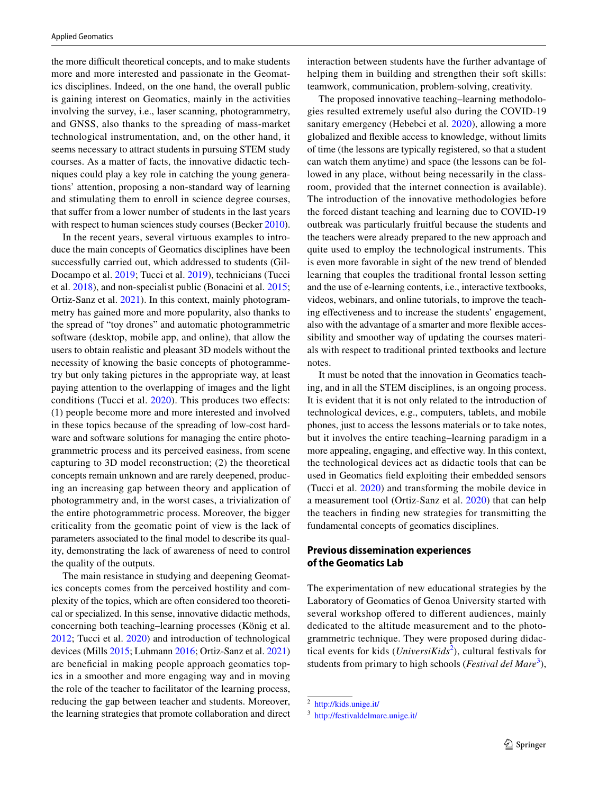the more difficult theoretical concepts, and to make students more and more interested and passionate in the Geomatics disciplines. Indeed, on the one hand, the overall public is gaining interest on Geomatics, mainly in the activities involving the survey, i.e., laser scanning, photogrammetry, and GNSS, also thanks to the spreading of mass-market technological instrumentation, and, on the other hand, it seems necessary to attract students in pursuing STEM study courses. As a matter of facts, the innovative didactic techniques could play a key role in catching the young generations' attention, proposing a non-standard way of learning and stimulating them to enroll in science degree courses, that suffer from a lower number of students in the last years with respect to human sciences study courses (Becker [2010](#page-11-7)).

In the recent years, several virtuous examples to introduce the main concepts of Geomatics disciplines have been successfully carried out, which addressed to students (Gil-Docampo et al. [2019;](#page-12-11) Tucci et al. [2019](#page-13-5)), technicians (Tucci et al. [2018\)](#page-13-6), and non-specialist public (Bonacini et al. [2015](#page-11-8); Ortiz-Sanz et al. [2021](#page-13-7)). In this context, mainly photogrammetry has gained more and more popularity, also thanks to the spread of "toy drones" and automatic photogrammetric software (desktop, mobile app, and online), that allow the users to obtain realistic and pleasant 3D models without the necessity of knowing the basic concepts of photogrammetry but only taking pictures in the appropriate way, at least paying attention to the overlapping of images and the light conditions (Tucci et al. [2020\)](#page-13-8). This produces two effects: (1) people become more and more interested and involved in these topics because of the spreading of low-cost hardware and software solutions for managing the entire photogrammetric process and its perceived easiness, from scene capturing to 3D model reconstruction; (2) the theoretical concepts remain unknown and are rarely deepened, producing an increasing gap between theory and application of photogrammetry and, in the worst cases, a trivialization of the entire photogrammetric process. Moreover, the bigger criticality from the geomatic point of view is the lack of parameters associated to the fnal model to describe its quality, demonstrating the lack of awareness of need to control the quality of the outputs.

The main resistance in studying and deepening Geomatics concepts comes from the perceived hostility and complexity of the topics, which are often considered too theoretical or specialized. In this sense, innovative didactic methods, concerning both teaching–learning processes (König et al. [2012](#page-12-12); Tucci et al. [2020](#page-13-8)) and introduction of technological devices (Mills [2015](#page-13-9); Luhmann [2016](#page-12-13); Ortiz-Sanz et al. [2021\)](#page-13-7) are benefcial in making people approach geomatics topics in a smoother and more engaging way and in moving the role of the teacher to facilitator of the learning process, reducing the gap between teacher and students. Moreover, the learning strategies that promote collaboration and direct interaction between students have the further advantage of helping them in building and strengthen their soft skills: teamwork, communication, problem-solving, creativity.

The proposed innovative teaching–learning methodologies resulted extremely useful also during the COVID-19 sanitary emergency (Hebebci et al. [2020](#page-12-14)), allowing a more globalized and fexible access to knowledge, without limits of time (the lessons are typically registered, so that a student can watch them anytime) and space (the lessons can be followed in any place, without being necessarily in the classroom, provided that the internet connection is available). The introduction of the innovative methodologies before the forced distant teaching and learning due to COVID-19 outbreak was particularly fruitful because the students and the teachers were already prepared to the new approach and quite used to employ the technological instruments. This is even more favorable in sight of the new trend of blended learning that couples the traditional frontal lesson setting and the use of e-learning contents, i.e., interactive textbooks, videos, webinars, and online tutorials, to improve the teaching efectiveness and to increase the students' engagement, also with the advantage of a smarter and more fexible accessibility and smoother way of updating the courses materials with respect to traditional printed textbooks and lecture notes.

It must be noted that the innovation in Geomatics teaching, and in all the STEM disciplines, is an ongoing process. It is evident that it is not only related to the introduction of technological devices, e.g., computers, tablets, and mobile phones, just to access the lessons materials or to take notes, but it involves the entire teaching–learning paradigm in a more appealing, engaging, and efective way. In this context, the technological devices act as didactic tools that can be used in Geomatics feld exploiting their embedded sensors (Tucci et al. [2020](#page-13-8)) and transforming the mobile device in a measurement tool (Ortiz-Sanz et al. [2020\)](#page-13-10) that can help the teachers in fnding new strategies for transmitting the fundamental concepts of geomatics disciplines.

# **Previous dissemination experiences of the Geomatics Lab**

The experimentation of new educational strategies by the Laboratory of Geomatics of Genoa University started with several workshop offered to different audiences, mainly dedicated to the altitude measurement and to the photogrammetric technique. They were proposed during didactical events for kids (*UniversiKids*[2](#page-2-0) ), cultural festivals for students from primary to high schools (*Festival del Mare*<sup>[3](#page-2-1)</sup>),

<span id="page-2-0"></span><sup>2</sup> <http://kids.unige.it/>

<span id="page-2-1"></span><sup>3</sup> <http://festivaldelmare.unige.it/>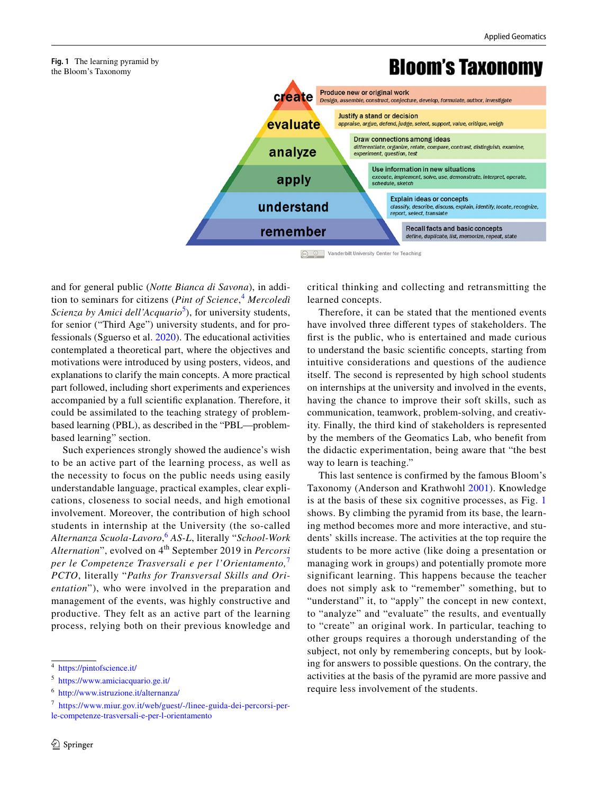# **Bloom's Taxonomy**



and for general public (*Notte Bianca di Savona*), in addition to seminars for citizens (*Pint of Science*, [4](#page-3-0) *Mercoledì*  Scienza by Amici dell'Acquario<sup>[5](#page-3-1)</sup>), for university students, for senior ("Third Age") university students, and for professionals (Sguerso et al. [2020](#page-13-11)). The educational activities contemplated a theoretical part, where the objectives and motivations were introduced by using posters, videos, and explanations to clarify the main concepts. A more practical part followed, including short experiments and experiences accompanied by a full scientifc explanation. Therefore, it could be assimilated to the teaching strategy of problembased learning (PBL), as described in the "PBL—problembased learning" section.

<span id="page-3-4"></span>**Fig. 1** The learning pyramid by the Bloom's Taxonomy

Such experiences strongly showed the audience's wish to be an active part of the learning process, as well as the necessity to focus on the public needs using easily understandable language, practical examples, clear explications, closeness to social needs, and high emotional involvement. Moreover, the contribution of high school students in internship at the University (the so-called *Alternanza Scuola-Lavoro*, [6](#page-3-2) *AS-L*, literally "*School-Work*  Alternation", evolved on 4<sup>th</sup> September 2019 in *Percorsi per le Competenze Trasversali e per l'Orientamento,*[7](#page-3-3) *PCTO*, literally "*Paths for Transversal Skills and Orientation*"), who were involved in the preparation and management of the events, was highly constructive and productive. They felt as an active part of the learning process, relying both on their previous knowledge and

critical thinking and collecting and retransmitting the learned concepts.

Therefore, it can be stated that the mentioned events have involved three diferent types of stakeholders. The frst is the public, who is entertained and made curious to understand the basic scientifc concepts, starting from intuitive considerations and questions of the audience itself. The second is represented by high school students on internships at the university and involved in the events, having the chance to improve their soft skills, such as communication, teamwork, problem-solving, and creativity. Finally, the third kind of stakeholders is represented by the members of the Geomatics Lab, who beneft from the didactic experimentation, being aware that "the best way to learn is teaching."

This last sentence is confirmed by the famous Bloom's Taxonomy (Anderson and Krathwohl [2001\)](#page-11-9). Knowledge is at the basis of these six cognitive processes, as Fig. [1](#page-3-4) shows. By climbing the pyramid from its base, the learning method becomes more and more interactive, and students' skills increase. The activities at the top require the students to be more active (like doing a presentation or managing work in groups) and potentially promote more significant learning. This happens because the teacher does not simply ask to "remember" something, but to "understand" it, to "apply" the concept in new context, to "analyze" and "evaluate" the results, and eventually to "create" an original work. In particular, teaching to other groups requires a thorough understanding of the subject, not only by remembering concepts, but by looking for answers to possible questions. On the contrary, the activities at the basis of the pyramid are more passive and require less involvement of the students.

<span id="page-3-0"></span><sup>4</sup> <https://pintofscience.it/>

<span id="page-3-1"></span><sup>5</sup> <https://www.amiciacquario.ge.it/>

<span id="page-3-2"></span><sup>6</sup> <http://www.istruzione.it/alternanza/>

<span id="page-3-3"></span><sup>7</sup> [https://www.miur.gov.it/web/guest/-/linee-guida-dei-percorsi-per](https://www.miur.gov.it/web/guest/-/linee-guida-dei-percorsi-per-le-competenze-trasversali-e-per-l-orientamento)[le-competenze-trasversali-e-per-l-orientamento](https://www.miur.gov.it/web/guest/-/linee-guida-dei-percorsi-per-le-competenze-trasversali-e-per-l-orientamento)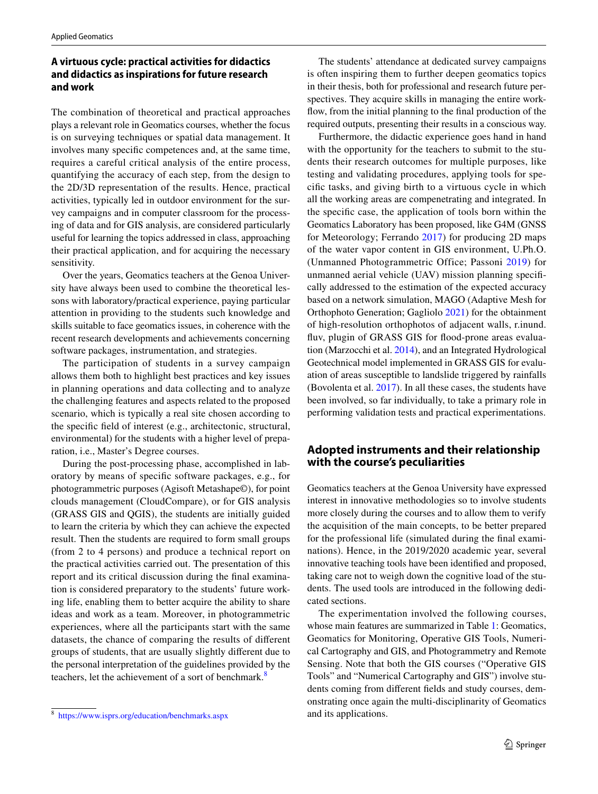# **A virtuous cycle: practical activities for didactics and didactics as inspirations for future research and work**

The combination of theoretical and practical approaches plays a relevant role in Geomatics courses, whether the focus is on surveying techniques or spatial data management. It involves many specifc competences and, at the same time, requires a careful critical analysis of the entire process, quantifying the accuracy of each step, from the design to the 2D/3D representation of the results. Hence, practical activities, typically led in outdoor environment for the survey campaigns and in computer classroom for the processing of data and for GIS analysis, are considered particularly useful for learning the topics addressed in class, approaching their practical application, and for acquiring the necessary sensitivity.

Over the years, Geomatics teachers at the Genoa University have always been used to combine the theoretical lessons with laboratory/practical experience, paying particular attention in providing to the students such knowledge and skills suitable to face geomatics issues, in coherence with the recent research developments and achievements concerning software packages, instrumentation, and strategies.

The participation of students in a survey campaign allows them both to highlight best practices and key issues in planning operations and data collecting and to analyze the challenging features and aspects related to the proposed scenario, which is typically a real site chosen according to the specifc feld of interest (e.g., architectonic, structural, environmental) for the students with a higher level of preparation, i.e., Master's Degree courses.

During the post-processing phase, accomplished in laboratory by means of specifc software packages, e.g., for photogrammetric purposes (Agisoft Metashape©), for point clouds management (CloudCompare), or for GIS analysis (GRASS GIS and QGIS), the students are initially guided to learn the criteria by which they can achieve the expected result. Then the students are required to form small groups (from 2 to 4 persons) and produce a technical report on the practical activities carried out. The presentation of this report and its critical discussion during the fnal examination is considered preparatory to the students' future working life, enabling them to better acquire the ability to share ideas and work as a team. Moreover, in photogrammetric experiences, where all the participants start with the same datasets, the chance of comparing the results of diferent groups of students, that are usually slightly diferent due to the personal interpretation of the guidelines provided by the teachers, let the achievement of a sort of benchmark.<sup>[8](#page-4-0)</sup>

The students' attendance at dedicated survey campaigns is often inspiring them to further deepen geomatics topics in their thesis, both for professional and research future perspectives. They acquire skills in managing the entire workfow, from the initial planning to the fnal production of the required outputs, presenting their results in a conscious way.

Furthermore, the didactic experience goes hand in hand with the opportunity for the teachers to submit to the students their research outcomes for multiple purposes, like testing and validating procedures, applying tools for specifc tasks, and giving birth to a virtuous cycle in which all the working areas are compenetrating and integrated. In the specifc case, the application of tools born within the Geomatics Laboratory has been proposed, like G4M (GNSS for Meteorology; Ferrando [2017](#page-12-15)) for producing 2D maps of the water vapor content in GIS environment, U.Ph.O. (Unmanned Photogrammetric Office; Passoni [2019](#page-13-12)) for unmanned aerial vehicle (UAV) mission planning specifcally addressed to the estimation of the expected accuracy based on a network simulation, MAGO (Adaptive Mesh for Orthophoto Generation; Gagliolo [2021\)](#page-12-16) for the obtainment of high-resolution orthophotos of adjacent walls, r.inund. fluv, plugin of GRASS GIS for flood-prone areas evaluation (Marzocchi et al. [2014\)](#page-12-17), and an Integrated Hydrological Geotechnical model implemented in GRASS GIS for evaluation of areas susceptible to landslide triggered by rainfalls (Bovolenta et al. [2017\)](#page-11-1). In all these cases, the students have been involved, so far individually, to take a primary role in performing validation tests and practical experimentations.

# **Adopted instruments and their relationship with the course's peculiarities**

Geomatics teachers at the Genoa University have expressed interest in innovative methodologies so to involve students more closely during the courses and to allow them to verify the acquisition of the main concepts, to be better prepared for the professional life (simulated during the fnal examinations). Hence, in the 2019/2020 academic year, several innovative teaching tools have been identifed and proposed, taking care not to weigh down the cognitive load of the students. The used tools are introduced in the following dedicated sections.

The experimentation involved the following courses, whose main features are summarized in Table [1](#page-5-0): Geomatics, Geomatics for Monitoring, Operative GIS Tools, Numerical Cartography and GIS, and Photogrammetry and Remote Sensing. Note that both the GIS courses ("Operative GIS Tools" and "Numerical Cartography and GIS") involve students coming from diferent felds and study courses, demonstrating once again the multi-disciplinarity of Geomatics

<span id="page-4-0"></span><sup>&</sup>lt;sup>8</sup> <https://www.isprs.org/education/benchmarks.aspx> and its applications.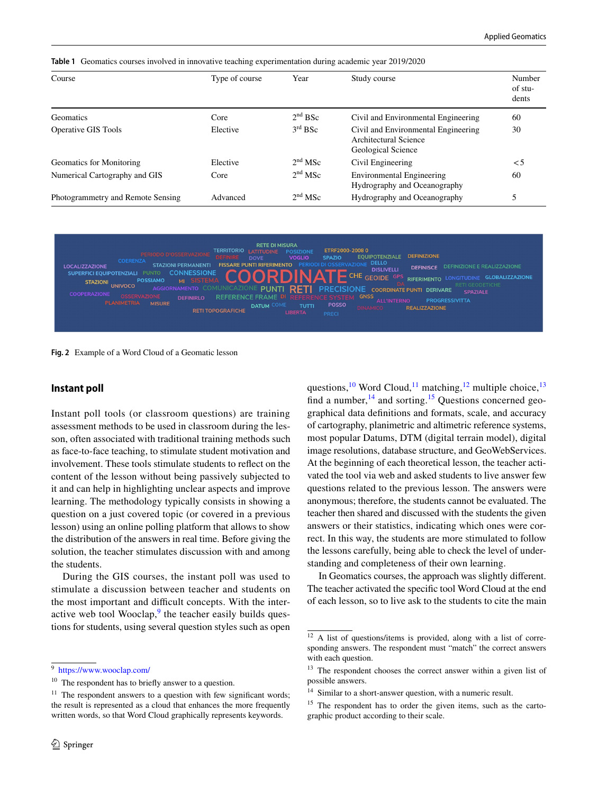<span id="page-5-0"></span>

|  |  |  |  |  |  |  |  |  |  | <b>Table 1</b> Geomatics courses involved in innovative teaching experimentation during academic year 2019/2020 |  |
|--|--|--|--|--|--|--|--|--|--|-----------------------------------------------------------------------------------------------------------------|--|
|--|--|--|--|--|--|--|--|--|--|-----------------------------------------------------------------------------------------------------------------|--|

| Course                            | Type of course | Year                | Study course                                                                       | Number<br>of stu-<br>dents |
|-----------------------------------|----------------|---------------------|------------------------------------------------------------------------------------|----------------------------|
| Geomatics                         | Core           | 2 <sup>nd</sup> BSc | Civil and Environmental Engineering                                                | 60                         |
| <b>Operative GIS Tools</b>        | Elective       | $3rd$ BSc           | Civil and Environmental Engineering<br>Architectural Science<br>Geological Science | 30                         |
| Geomatics for Monitoring          | Elective       | $2nd$ MSc           | Civil Engineering                                                                  | $\leq 5$                   |
| Numerical Cartography and GIS     | Core           | $2nd$ MSc           | Environmental Engineering<br>Hydrography and Oceanography                          | 60                         |
| Photogrammetry and Remote Sensing | Advanced       | $2nd$ MSc           | Hydrography and Oceanography                                                       | 5                          |

**DETE DI MICHDA OIGOTIQUE** ETRF2000-2008 osizior<br>VOGLIO EQUIPOTENZIALE DEEINIZIONI **SPAZIO STAZIONI PERMANENT FISSARE PUNTI RIFERIMENTO LOCALIZZAZIONI DISLIVELLI** SUPERFICI EQUIPOTENZIALI **CONNESSIONE** CHE GEOIDE GLOBALIZZAZIONE STAZIONI UNIVOCO *<u>PIEEPIMENTO</u>* **COORDINATE PUNTL DERIVARE REFERENCE FRAME PROGRESSIVITTA** TUTT **DATUM REALIZZAZIONE RETI TOPOGRAFICHE** 

<span id="page-5-8"></span>**Fig. 2** Example of a Word Cloud of a Geomatic lesson

#### **Instant poll**

Instant poll tools (or classroom questions) are training assessment methods to be used in classroom during the lesson, often associated with traditional training methods such as face-to-face teaching, to stimulate student motivation and involvement. These tools stimulate students to refect on the content of the lesson without being passively subjected to it and can help in highlighting unclear aspects and improve learning. The methodology typically consists in showing a question on a just covered topic (or covered in a previous lesson) using an online polling platform that allows to show the distribution of the answers in real time. Before giving the solution, the teacher stimulates discussion with and among the students.

During the GIS courses, the instant poll was used to stimulate a discussion between teacher and students on the most important and difficult concepts. With the inter-active web tool Wooclap,<sup>[9](#page-5-1)</sup> the teacher easily builds questions for students, using several question styles such as open questions,<sup>[10](#page-5-2)</sup> Word Cloud,<sup>11</sup> matching,<sup>[12](#page-5-4)</sup> multiple choice,<sup>13</sup> find a number, $14$  and sorting.<sup>15</sup> Questions concerned geographical data defnitions and formats, scale, and accuracy of cartography, planimetric and altimetric reference systems, most popular Datums, DTM (digital terrain model), digital image resolutions, database structure, and GeoWebServices. At the beginning of each theoretical lesson, the teacher activated the tool via web and asked students to live answer few questions related to the previous lesson. The answers were anonymous; therefore, the students cannot be evaluated. The teacher then shared and discussed with the students the given answers or their statistics, indicating which ones were correct. In this way, the students are more stimulated to follow the lessons carefully, being able to check the level of understanding and completeness of their own learning.

In Geomatics courses, the approach was slightly diferent. The teacher activated the specifc tool Word Cloud at the end of each lesson, so to live ask to the students to cite the main

<span id="page-5-1"></span><sup>9</sup> <https://www.wooclap.com/>

<span id="page-5-2"></span><sup>&</sup>lt;sup>10</sup> The respondent has to briefly answer to a question.

<span id="page-5-3"></span> $11$  The respondent answers to a question with few significant words; the result is represented as a cloud that enhances the more frequently written words, so that Word Cloud graphically represents keywords.

<span id="page-5-4"></span> $\frac{12}{12}$  A list of questions/items is provided, along with a list of corresponding answers. The respondent must "match" the correct answers with each question.

<span id="page-5-5"></span><sup>&</sup>lt;sup>13</sup> The respondent chooses the correct answer within a given list of possible answers.

<span id="page-5-6"></span><sup>&</sup>lt;sup>14</sup> Similar to a short-answer question, with a numeric result.

<span id="page-5-7"></span><sup>&</sup>lt;sup>15</sup> The respondent has to order the given items, such as the cartographic product according to their scale.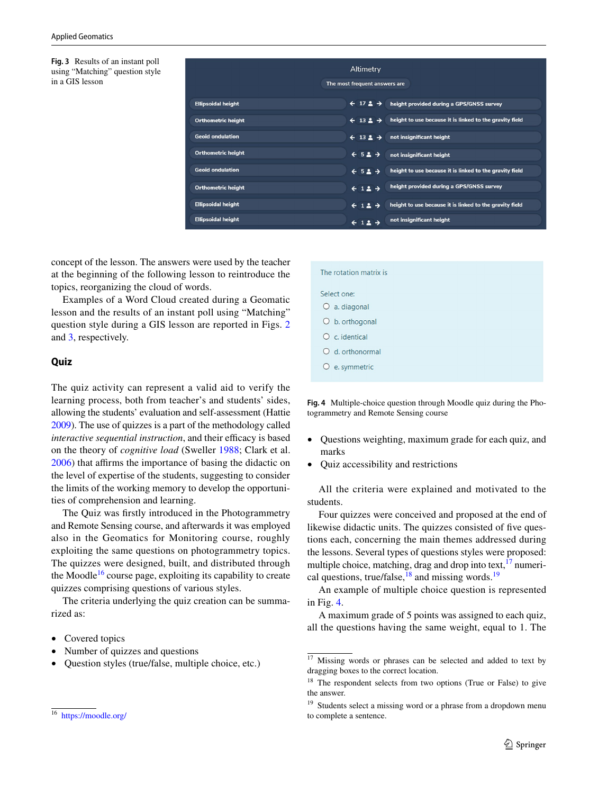<span id="page-6-0"></span>**Fig. 3** Results of an instant poll using "Matching" question style in a GIS lesson

|                           | Altimetry<br>The most frequent answers are        |                                                         |
|---------------------------|---------------------------------------------------|---------------------------------------------------------|
| <b>Ellipsoidal height</b> | $\div$ 17 $\Delta$ $\rightarrow$                  | height provided during a GPS/GNSS survey                |
| <b>Orthometric height</b> | $\leftarrow$ 13 $\stackrel{\bullet}{\rightarrow}$ | height to use because it is linked to the gravity field |
| <b>Geoid ondulation</b>   | $\leftarrow$ 13 $\Delta$ $\rightarrow$            | not insignificant height                                |
| <b>Orthometric height</b> | $\leftarrow$ 52 $\rightarrow$                     | not insignificant height                                |
| <b>Geoid ondulation</b>   | $\leftarrow$ 52 $\rightarrow$                     | height to use because it is linked to the gravity field |
| <b>Orthometric height</b> | $\leftarrow$ 12 $\rightarrow$                     | height provided during a GPS/GNSS survey                |
| <b>Ellipsoidal height</b> | $\leftarrow$ 12 $\rightarrow$                     | height to use because it is linked to the gravity field |
| <b>Ellipsoidal height</b> | $\leftarrow$ 12 $\rightarrow$                     | not insignificant height                                |

concept of the lesson. The answers were used by the teacher at the beginning of the following lesson to reintroduce the topics, reorganizing the cloud of words.

Examples of a Word Cloud created during a Geomatic lesson and the results of an instant poll using "Matching" question style during a GIS lesson are reported in Figs. [2](#page-5-8) and [3](#page-6-0), respectively.

#### **Quiz**

The quiz activity can represent a valid aid to verify the learning process, both from teacher's and students' sides, allowing the students' evaluation and self-assessment (Hattie [2009\)](#page-12-18). The use of quizzes is a part of the methodology called *interactive sequential instruction*, and their efficacy is based on the theory of *cognitive load* (Sweller [1988](#page-13-13); Clark et al. [2006](#page-11-10)) that affirms the importance of basing the didactic on the level of expertise of the students, suggesting to consider the limits of the working memory to develop the opportunities of comprehension and learning.

The Quiz was frstly introduced in the Photogrammetry and Remote Sensing course, and afterwards it was employed also in the Geomatics for Monitoring course, roughly exploiting the same questions on photogrammetry topics. The quizzes were designed, built, and distributed through the Moodle<sup>16</sup> course page, exploiting its capability to create quizzes comprising questions of various styles.

The criteria underlying the quiz creation can be summarized as:

- Covered topics
- Number of quizzes and questions
- Question styles (true/false, multiple choice, etc.)

| The rotation matrix is                                 |
|--------------------------------------------------------|
| Select one:<br>a. diagonal<br>$\circ$                  |
| $Ob$ . orthogonal                                      |
| $O$ c. identical<br>d. orthonormal<br>$\left( \right)$ |
| e. symmetric<br>$\circ$                                |
|                                                        |

<span id="page-6-5"></span>**Fig. 4** Multiple-choice question through Moodle quiz during the Photogrammetry and Remote Sensing course

- Questions weighting, maximum grade for each quiz, and marks
- Quiz accessibility and restrictions

All the criteria were explained and motivated to the students.

Four quizzes were conceived and proposed at the end of likewise didactic units. The quizzes consisted of fve questions each, concerning the main themes addressed during the lessons. Several types of questions styles were proposed: multiple choice, matching, drag and drop into text,  $17$  numerical questions, true/false, $^{18}$  and missing words.<sup>[19](#page-6-4)</sup>

An example of multiple choice question is represented in Fig. [4.](#page-6-5)

A maximum grade of 5 points was assigned to each quiz, all the questions having the same weight, equal to 1. The

<span id="page-6-1"></span><sup>16</sup> <https://moodle.org/>

<span id="page-6-2"></span><sup>&</sup>lt;sup>17</sup> Missing words or phrases can be selected and added to text by dragging boxes to the correct location.

<span id="page-6-3"></span><sup>&</sup>lt;sup>18</sup> The respondent selects from two options (True or False) to give the answer.

<span id="page-6-4"></span><sup>&</sup>lt;sup>19</sup> Students select a missing word or a phrase from a dropdown menu to complete a sentence.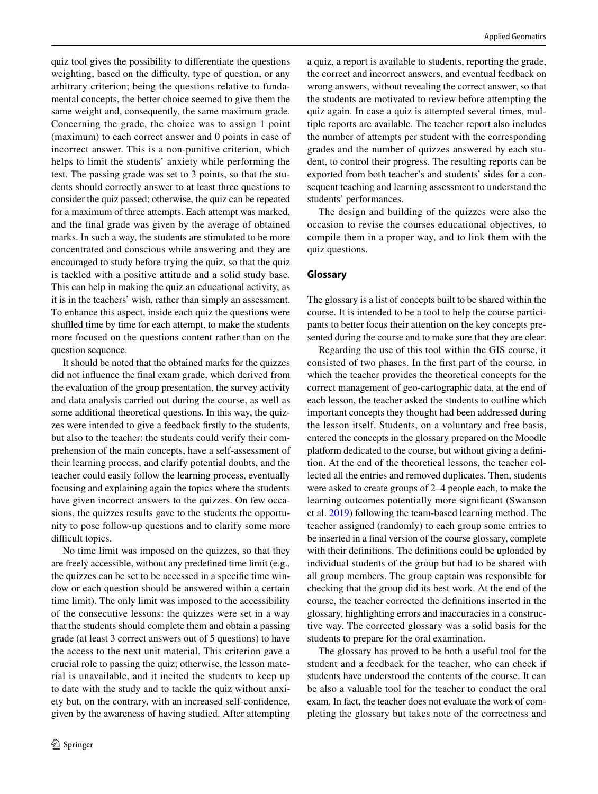quiz tool gives the possibility to diferentiate the questions weighting, based on the difficulty, type of question, or any arbitrary criterion; being the questions relative to fundamental concepts, the better choice seemed to give them the same weight and, consequently, the same maximum grade. Concerning the grade, the choice was to assign 1 point (maximum) to each correct answer and 0 points in case of incorrect answer. This is a non-punitive criterion, which helps to limit the students' anxiety while performing the test. The passing grade was set to 3 points, so that the students should correctly answer to at least three questions to consider the quiz passed; otherwise, the quiz can be repeated for a maximum of three attempts. Each attempt was marked, and the fnal grade was given by the average of obtained marks. In such a way, the students are stimulated to be more concentrated and conscious while answering and they are encouraged to study before trying the quiz, so that the quiz is tackled with a positive attitude and a solid study base. This can help in making the quiz an educational activity, as it is in the teachers' wish, rather than simply an assessment. To enhance this aspect, inside each quiz the questions were shuffled time by time for each attempt, to make the students more focused on the questions content rather than on the question sequence.

It should be noted that the obtained marks for the quizzes did not infuence the fnal exam grade, which derived from the evaluation of the group presentation, the survey activity and data analysis carried out during the course, as well as some additional theoretical questions. In this way, the quizzes were intended to give a feedback frstly to the students, but also to the teacher: the students could verify their comprehension of the main concepts, have a self-assessment of their learning process, and clarify potential doubts, and the teacher could easily follow the learning process, eventually focusing and explaining again the topics where the students have given incorrect answers to the quizzes. On few occasions, the quizzes results gave to the students the opportunity to pose follow-up questions and to clarify some more difficult topics.

No time limit was imposed on the quizzes, so that they are freely accessible, without any predefned time limit (e.g., the quizzes can be set to be accessed in a specifc time window or each question should be answered within a certain time limit). The only limit was imposed to the accessibility of the consecutive lessons: the quizzes were set in a way that the students should complete them and obtain a passing grade (at least 3 correct answers out of 5 questions) to have the access to the next unit material. This criterion gave a crucial role to passing the quiz; otherwise, the lesson material is unavailable, and it incited the students to keep up to date with the study and to tackle the quiz without anxiety but, on the contrary, with an increased self-confdence, given by the awareness of having studied. After attempting

a quiz, a report is available to students, reporting the grade, the correct and incorrect answers, and eventual feedback on wrong answers, without revealing the correct answer, so that the students are motivated to review before attempting the quiz again. In case a quiz is attempted several times, multiple reports are available. The teacher report also includes the number of attempts per student with the corresponding grades and the number of quizzes answered by each student, to control their progress. The resulting reports can be exported from both teacher's and students' sides for a consequent teaching and learning assessment to understand the students' performances.

The design and building of the quizzes were also the occasion to revise the courses educational objectives, to compile them in a proper way, and to link them with the quiz questions.

#### **Glossary**

The glossary is a list of concepts built to be shared within the course. It is intended to be a tool to help the course participants to better focus their attention on the key concepts presented during the course and to make sure that they are clear.

Regarding the use of this tool within the GIS course, it consisted of two phases. In the frst part of the course, in which the teacher provides the theoretical concepts for the correct management of geo-cartographic data, at the end of each lesson, the teacher asked the students to outline which important concepts they thought had been addressed during the lesson itself. Students, on a voluntary and free basis, entered the concepts in the glossary prepared on the Moodle platform dedicated to the course, but without giving a defnition. At the end of the theoretical lessons, the teacher collected all the entries and removed duplicates. Then, students were asked to create groups of 2–4 people each, to make the learning outcomes potentially more signifcant (Swanson et al. [2019](#page-13-14)) following the team-based learning method. The teacher assigned (randomly) to each group some entries to be inserted in a fnal version of the course glossary, complete with their definitions. The definitions could be uploaded by individual students of the group but had to be shared with all group members. The group captain was responsible for checking that the group did its best work. At the end of the course, the teacher corrected the defnitions inserted in the glossary, highlighting errors and inaccuracies in a constructive way. The corrected glossary was a solid basis for the students to prepare for the oral examination.

The glossary has proved to be both a useful tool for the student and a feedback for the teacher, who can check if students have understood the contents of the course. It can be also a valuable tool for the teacher to conduct the oral exam. In fact, the teacher does not evaluate the work of completing the glossary but takes note of the correctness and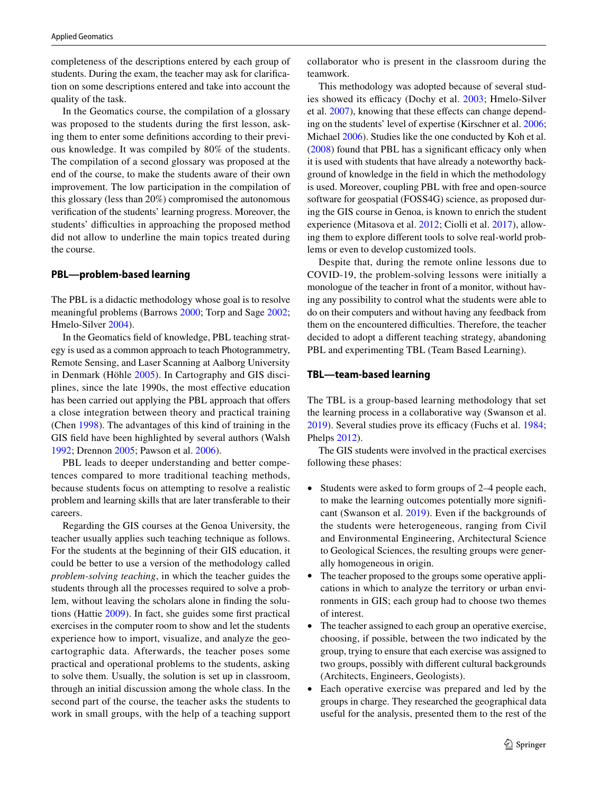completeness of the descriptions entered by each group of students. During the exam, the teacher may ask for clarifcation on some descriptions entered and take into account the quality of the task.

In the Geomatics course, the compilation of a glossary was proposed to the students during the first lesson, asking them to enter some defnitions according to their previous knowledge. It was compiled by 80% of the students. The compilation of a second glossary was proposed at the end of the course, to make the students aware of their own improvement. The low participation in the compilation of this glossary (less than 20%) compromised the autonomous verifcation of the students' learning progress. Moreover, the students' difficulties in approaching the proposed method did not allow to underline the main topics treated during the course.

#### **PBL—problem‑based learning**

The PBL is a didactic methodology whose goal is to resolve meaningful problems (Barrows [2000;](#page-11-11) Torp and Sage [2002](#page-13-15); Hmelo-Silver [2004](#page-12-19)).

In the Geomatics feld of knowledge, PBL teaching strategy is used as a common approach to teach Photogrammetry, Remote Sensing, and Laser Scanning at Aalborg University in Denmark (Höhle [2005\)](#page-12-20). In Cartography and GIS disciplines, since the late 1990s, the most efective education has been carried out applying the PBL approach that offers a close integration between theory and practical training (Chen [1998](#page-11-12)). The advantages of this kind of training in the GIS feld have been highlighted by several authors (Walsh [1992](#page-13-16); Drennon [2005](#page-12-21); Pawson et al. [2006](#page-13-17)).

PBL leads to deeper understanding and better competences compared to more traditional teaching methods, because students focus on attempting to resolve a realistic problem and learning skills that are later transferable to their careers.

Regarding the GIS courses at the Genoa University, the teacher usually applies such teaching technique as follows. For the students at the beginning of their GIS education, it could be better to use a version of the methodology called *problem-solving teaching*, in which the teacher guides the students through all the processes required to solve a problem, without leaving the scholars alone in fnding the solutions (Hattie [2009\)](#page-12-18). In fact, she guides some frst practical exercises in the computer room to show and let the students experience how to import, visualize, and analyze the geocartographic data. Afterwards, the teacher poses some practical and operational problems to the students, asking to solve them. Usually, the solution is set up in classroom, through an initial discussion among the whole class. In the second part of the course, the teacher asks the students to work in small groups, with the help of a teaching support collaborator who is present in the classroom during the teamwork.

This methodology was adopted because of several stud-ies showed its efficacy (Dochy et al. [2003](#page-12-22); Hmelo-Silver et al. [2007](#page-12-23)), knowing that these effects can change depending on the students' level of expertise (Kirschner et al. [2006](#page-12-24); Michael [2006](#page-13-18)). Studies like the one conducted by Koh et al.  $(2008)$  $(2008)$  found that PBL has a significant efficacy only when it is used with students that have already a noteworthy background of knowledge in the feld in which the methodology is used. Moreover, coupling PBL with free and open-source software for geospatial (FOSS4G) science, as proposed during the GIS course in Genoa, is known to enrich the student experience (Mitasova et al. [2012;](#page-13-19) Ciolli et al. [2017\)](#page-11-13), allowing them to explore diferent tools to solve real-world problems or even to develop customized tools.

Despite that, during the remote online lessons due to COVID-19, the problem-solving lessons were initially a monologue of the teacher in front of a monitor, without having any possibility to control what the students were able to do on their computers and without having any feedback from them on the encountered difficulties. Therefore, the teacher decided to adopt a diferent teaching strategy, abandoning PBL and experimenting TBL (Team Based Learning).

#### **TBL—team‑based learning**

The TBL is a group-based learning methodology that set the learning process in a collaborative way (Swanson et al.  $2019$ ). Several studies prove its efficacy (Fuchs et al. [1984](#page-12-26); Phelps [2012\)](#page-13-20).

The GIS students were involved in the practical exercises following these phases:

- Students were asked to form groups of 2–4 people each, to make the learning outcomes potentially more signifcant (Swanson et al. [2019\)](#page-13-14). Even if the backgrounds of the students were heterogeneous, ranging from Civil and Environmental Engineering, Architectural Science to Geological Sciences, the resulting groups were generally homogeneous in origin.
- The teacher proposed to the groups some operative applications in which to analyze the territory or urban environments in GIS; each group had to choose two themes of interest.
- The teacher assigned to each group an operative exercise, choosing, if possible, between the two indicated by the group, trying to ensure that each exercise was assigned to two groups, possibly with diferent cultural backgrounds (Architects, Engineers, Geologists).
- Each operative exercise was prepared and led by the groups in charge. They researched the geographical data useful for the analysis, presented them to the rest of the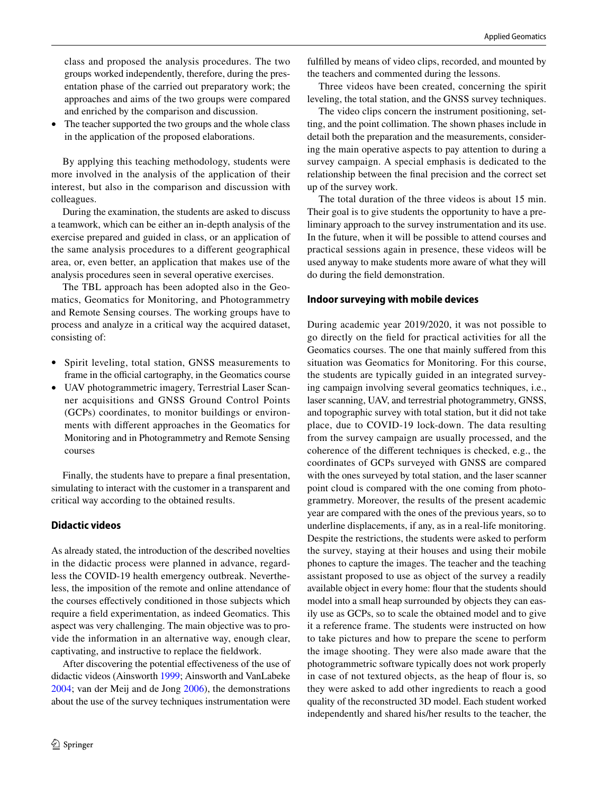class and proposed the analysis procedures. The two groups worked independently, therefore, during the presentation phase of the carried out preparatory work; the approaches and aims of the two groups were compared and enriched by the comparison and discussion.

The teacher supported the two groups and the whole class in the application of the proposed elaborations.

By applying this teaching methodology, students were more involved in the analysis of the application of their interest, but also in the comparison and discussion with colleagues.

During the examination, the students are asked to discuss a teamwork, which can be either an in-depth analysis of the exercise prepared and guided in class, or an application of the same analysis procedures to a diferent geographical area, or, even better, an application that makes use of the analysis procedures seen in several operative exercises.

The TBL approach has been adopted also in the Geomatics, Geomatics for Monitoring, and Photogrammetry and Remote Sensing courses. The working groups have to process and analyze in a critical way the acquired dataset, consisting of:

- Spirit leveling, total station, GNSS measurements to frame in the official cartography, in the Geomatics course
- UAV photogrammetric imagery, Terrestrial Laser Scanner acquisitions and GNSS Ground Control Points (GCPs) coordinates, to monitor buildings or environments with diferent approaches in the Geomatics for Monitoring and in Photogrammetry and Remote Sensing courses

Finally, the students have to prepare a fnal presentation, simulating to interact with the customer in a transparent and critical way according to the obtained results.

### **Didactic videos**

As already stated, the introduction of the described novelties in the didactic process were planned in advance, regardless the COVID-19 health emergency outbreak. Nevertheless, the imposition of the remote and online attendance of the courses efectively conditioned in those subjects which require a feld experimentation, as indeed Geomatics. This aspect was very challenging. The main objective was to provide the information in an alternative way, enough clear, captivating, and instructive to replace the feldwork.

After discovering the potential efectiveness of the use of didactic videos (Ainsworth [1999](#page-11-14); Ainsworth and VanLabeke [2004](#page-11-15); van der Meij and de Jong [2006](#page-13-21)), the demonstrations about the use of the survey techniques instrumentation were

fulflled by means of video clips, recorded, and mounted by the teachers and commented during the lessons.

Three videos have been created, concerning the spirit leveling, the total station, and the GNSS survey techniques.

The video clips concern the instrument positioning, setting, and the point collimation. The shown phases include in detail both the preparation and the measurements, considering the main operative aspects to pay attention to during a survey campaign. A special emphasis is dedicated to the relationship between the fnal precision and the correct set up of the survey work.

The total duration of the three videos is about 15 min. Their goal is to give students the opportunity to have a preliminary approach to the survey instrumentation and its use. In the future, when it will be possible to attend courses and practical sessions again in presence, these videos will be used anyway to make students more aware of what they will do during the feld demonstration.

#### **Indoor surveying with mobile devices**

During academic year 2019/2020, it was not possible to go directly on the feld for practical activities for all the Geomatics courses. The one that mainly sufered from this situation was Geomatics for Monitoring. For this course, the students are typically guided in an integrated surveying campaign involving several geomatics techniques, i.e., laser scanning, UAV, and terrestrial photogrammetry, GNSS, and topographic survey with total station, but it did not take place, due to COVID-19 lock-down. The data resulting from the survey campaign are usually processed, and the coherence of the diferent techniques is checked, e.g., the coordinates of GCPs surveyed with GNSS are compared with the ones surveyed by total station, and the laser scanner point cloud is compared with the one coming from photogrammetry. Moreover, the results of the present academic year are compared with the ones of the previous years, so to underline displacements, if any, as in a real-life monitoring. Despite the restrictions, the students were asked to perform the survey, staying at their houses and using their mobile phones to capture the images. The teacher and the teaching assistant proposed to use as object of the survey a readily available object in every home: four that the students should model into a small heap surrounded by objects they can easily use as GCPs, so to scale the obtained model and to give it a reference frame. The students were instructed on how to take pictures and how to prepare the scene to perform the image shooting. They were also made aware that the photogrammetric software typically does not work properly in case of not textured objects, as the heap of four is, so they were asked to add other ingredients to reach a good quality of the reconstructed 3D model. Each student worked independently and shared his/her results to the teacher, the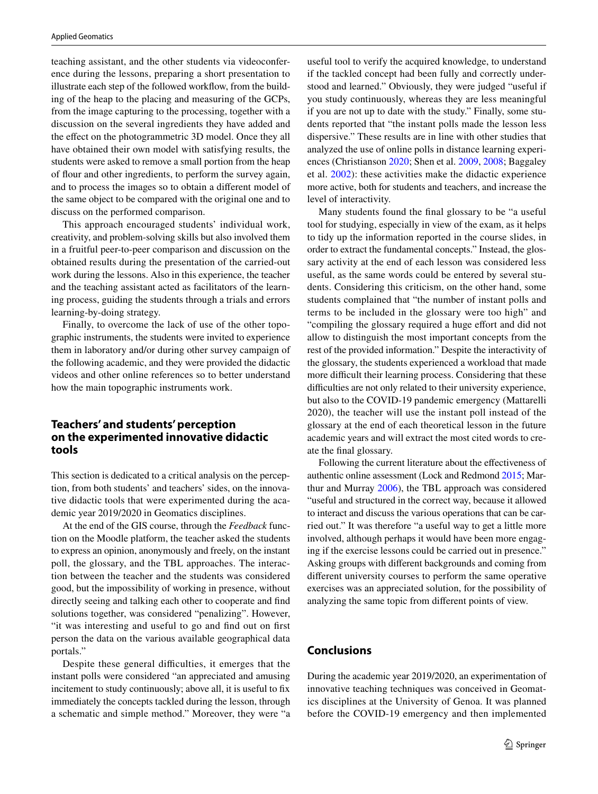teaching assistant, and the other students via videoconference during the lessons, preparing a short presentation to illustrate each step of the followed workfow, from the building of the heap to the placing and measuring of the GCPs, from the image capturing to the processing, together with a discussion on the several ingredients they have added and the efect on the photogrammetric 3D model. Once they all have obtained their own model with satisfying results, the students were asked to remove a small portion from the heap of four and other ingredients, to perform the survey again, and to process the images so to obtain a diferent model of the same object to be compared with the original one and to discuss on the performed comparison.

This approach encouraged students' individual work, creativity, and problem-solving skills but also involved them in a fruitful peer-to-peer comparison and discussion on the obtained results during the presentation of the carried-out work during the lessons. Also in this experience, the teacher and the teaching assistant acted as facilitators of the learning process, guiding the students through a trials and errors learning-by-doing strategy.

Finally, to overcome the lack of use of the other topographic instruments, the students were invited to experience them in laboratory and/or during other survey campaign of the following academic, and they were provided the didactic videos and other online references so to better understand how the main topographic instruments work.

# **Teachers' and students' perception on the experimented innovative didactic tools**

This section is dedicated to a critical analysis on the perception, from both students' and teachers' sides, on the innovative didactic tools that were experimented during the academic year 2019/2020 in Geomatics disciplines.

At the end of the GIS course, through the *Feedback* function on the Moodle platform, the teacher asked the students to express an opinion, anonymously and freely, on the instant poll, the glossary, and the TBL approaches. The interaction between the teacher and the students was considered good, but the impossibility of working in presence, without directly seeing and talking each other to cooperate and fnd solutions together, was considered "penalizing". However, "it was interesting and useful to go and fnd out on frst person the data on the various available geographical data portals."

Despite these general difficulties, it emerges that the instant polls were considered "an appreciated and amusing incitement to study continuously; above all, it is useful to fx immediately the concepts tackled during the lesson, through a schematic and simple method." Moreover, they were "a useful tool to verify the acquired knowledge, to understand if the tackled concept had been fully and correctly understood and learned." Obviously, they were judged "useful if you study continuously, whereas they are less meaningful if you are not up to date with the study." Finally, some students reported that "the instant polls made the lesson less dispersive." These results are in line with other studies that analyzed the use of online polls in distance learning experiences (Christianson [2020;](#page-11-16) Shen et al. [2009,](#page-13-22) [2008;](#page-13-23) Baggaley et al. [2002\)](#page-11-17): these activities make the didactic experience more active, both for students and teachers, and increase the level of interactivity.

Many students found the fnal glossary to be "a useful tool for studying, especially in view of the exam, as it helps to tidy up the information reported in the course slides, in order to extract the fundamental concepts." Instead, the glossary activity at the end of each lesson was considered less useful, as the same words could be entered by several students. Considering this criticism, on the other hand, some students complained that "the number of instant polls and terms to be included in the glossary were too high" and "compiling the glossary required a huge effort and did not allow to distinguish the most important concepts from the rest of the provided information." Despite the interactivity of the glossary, the students experienced a workload that made more difficult their learning process. Considering that these difficulties are not only related to their university experience, but also to the COVID-19 pandemic emergency (Mattarelli 2020), the teacher will use the instant poll instead of the glossary at the end of each theoretical lesson in the future academic years and will extract the most cited words to create the fnal glossary.

Following the current literature about the efectiveness of authentic online assessment (Lock and Redmond [2015;](#page-12-27) Marthur and Murray [2006](#page-12-28)), the TBL approach was considered "useful and structured in the correct way, because it allowed to interact and discuss the various operations that can be carried out." It was therefore "a useful way to get a little more involved, although perhaps it would have been more engaging if the exercise lessons could be carried out in presence." Asking groups with diferent backgrounds and coming from diferent university courses to perform the same operative exercises was an appreciated solution, for the possibility of analyzing the same topic from diferent points of view.

# **Conclusions**

During the academic year 2019/2020, an experimentation of innovative teaching techniques was conceived in Geomatics disciplines at the University of Genoa. It was planned before the COVID-19 emergency and then implemented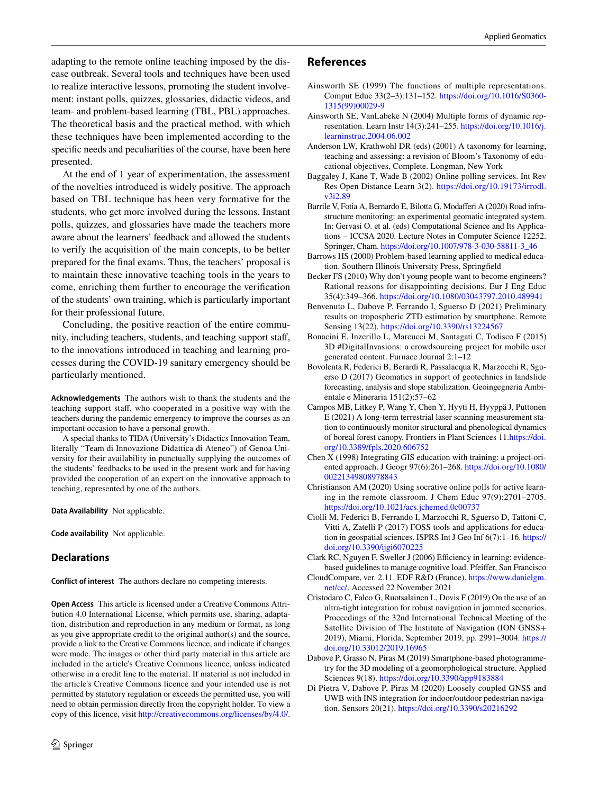adapting to the remote online teaching imposed by the disease outbreak. Several tools and techniques have been used to realize interactive lessons, promoting the student involvement: instant polls, quizzes, glossaries, didactic videos, and team- and problem-based learning (TBL, PBL) approaches. The theoretical basis and the practical method, with which these techniques have been implemented according to the specifc needs and peculiarities of the course, have been here presented.

At the end of 1 year of experimentation, the assessment of the novelties introduced is widely positive. The approach based on TBL technique has been very formative for the students, who get more involved during the lessons. Instant polls, quizzes, and glossaries have made the teachers more aware about the learners' feedback and allowed the students to verify the acquisition of the main concepts, to be better prepared for the fnal exams. Thus, the teachers' proposal is to maintain these innovative teaching tools in the years to come, enriching them further to encourage the verifcation of the students' own training, which is particularly important for their professional future.

Concluding, the positive reaction of the entire community, including teachers, students, and teaching support staf, to the innovations introduced in teaching and learning processes during the COVID-19 sanitary emergency should be particularly mentioned.

**Acknowledgements** The authors wish to thank the students and the teaching support staf, who cooperated in a positive way with the teachers during the pandemic emergency to improve the courses as an important occasion to have a personal growth.

A special thanks to TIDA (University's Didactics Innovation Team, literally "Team di Innovazione Didattica di Ateneo") of Genoa University for their availability in punctually supplying the outcomes of the students' feedbacks to be used in the present work and for having provided the cooperation of an expert on the innovative approach to teaching, represented by one of the authors.

**Data Availability** Not applicable.

**Code availability** Not applicable.

# **Declarations**

**Conflict of interest** The authors declare no competing interests.

**Open Access** This article is licensed under a Creative Commons Attribution 4.0 International License, which permits use, sharing, adaptation, distribution and reproduction in any medium or format, as long as you give appropriate credit to the original author(s) and the source, provide a link to the Creative Commons licence, and indicate if changes were made. The images or other third party material in this article are included in the article's Creative Commons licence, unless indicated otherwise in a credit line to the material. If material is not included in the article's Creative Commons licence and your intended use is not permitted by statutory regulation or exceeds the permitted use, you will need to obtain permission directly from the copyright holder. To view a copy of this licence, visit <http://creativecommons.org/licenses/by/4.0/>.

#### **References**

- <span id="page-11-14"></span>Ainsworth SE (1999) The functions of multiple representations. Comput Educ 33(2–3):131–152. [https://doi.org/10.1016/S0360-](https://doi.org/10.1016/S0360-1315(99)00029-9) [1315\(99\)00029-9](https://doi.org/10.1016/S0360-1315(99)00029-9)
- <span id="page-11-15"></span>Ainsworth SE, VanLabeke N (2004) Multiple forms of dynamic representation. Learn Instr 14(3):241–255. [https://doi.org/10.1016/j.](https://doi.org/10.1016/j.learninstruc.2004.06.002) [learninstruc.2004.06.002](https://doi.org/10.1016/j.learninstruc.2004.06.002)
- <span id="page-11-9"></span>Anderson LW, Krathwohl DR (eds) (2001) A taxonomy for learning, teaching and assessing: a revision of Bloom's Taxonomy of educational objectives, Complete. Longman, New York
- <span id="page-11-17"></span>Baggaley J, Kane T, Wade B (2002) Online polling services. Int Rev Res Open Distance Learn 3(2). [https://doi.org/10.19173/irrodl.](https://doi.org/10.19173/irrodl.v3i2.89) [v3i2.89](https://doi.org/10.19173/irrodl.v3i2.89)
- <span id="page-11-2"></span>Barrile V, Fotia A, Bernardo E, Bilotta G, Modaferi A (2020) Road infrastructure monitoring: an experimental geomatic integrated system. In: Gervasi O. et al. (eds) Computational Science and Its Applications – ICCSA 2020. Lecture Notes in Computer Science 12252. Springer, Cham. [https://doi.org/10.1007/978-3-030-58811-3\\_46](https://doi.org/10.1007/978-3-030-58811-3_46)
- <span id="page-11-11"></span>Barrows HS (2000) Problem-based learning applied to medical education. Southern Illinois University Press, Springfeld
- <span id="page-11-7"></span>Becker FS (2010) Why don't young people want to become engineers? Rational reasons for disappointing decisions. Eur J Eng Educ 35(4):349–366.<https://doi.org/10.1080/03043797.2010.489941>
- <span id="page-11-6"></span>Benvenuto L, Dabove P, Ferrando I, Sguerso D (2021) Preliminary results on tropospheric ZTD estimation by smartphone. Remote Sensing 13(22). <https://doi.org/10.3390/rs13224567>
- <span id="page-11-8"></span>Bonacini E, Inzerillo L, Marcucci M, Santagati C, Todisco F (2015) 3D #DigitalInvasions: a crowdsourcing project for mobile user generated content. Furnace Journal 2:1–12
- <span id="page-11-1"></span>Bovolenta R, Federici B, Berardi R, Passalacqua R, Marzocchi R, Sguerso D (2017) Geomatics in support of geotechnics in landslide forecasting, analysis and slope stabilization. Geoingegneria Ambientale e Mineraria 151(2):57–62
- <span id="page-11-3"></span>Campos MB, Litkey P, Wang Y, Chen Y, Hyyti H, Hyyppä J, Puttonen E (2021) A long-term terrestrial laser scanning measurement station to continuously monitor structural and phenological dynamics of boreal forest canopy. Frontiers in Plant Sciences 11.[https://doi.](https://doi.org/10.3389/fpls.2020.606752) [org/10.3389/fpls.2020.606752](https://doi.org/10.3389/fpls.2020.606752)
- <span id="page-11-12"></span>Chen X (1998) Integrating GIS education with training: a project-oriented approach. J Geogr 97(6):261–268. [https://doi.org/10.1080/](https://doi.org/10.1080/00221349808978843) [00221349808978843](https://doi.org/10.1080/00221349808978843)
- <span id="page-11-16"></span>Christianson AM (2020) Using socrative online polls for active learning in the remote classroom. J Chem Educ 97(9):2701–2705. <https://doi.org/10.1021/acs.jchemed.0c00737>
- <span id="page-11-13"></span>Ciolli M, Federici B, Ferrando I, Marzocchi R, Sguerso D, Tattoni C, Vitti A, Zatelli P (2017) FOSS tools and applications for education in geospatial sciences. ISPRS Int J Geo Inf 6(7):1–16. [https://](https://doi.org/10.3390/ijgi6070225) [doi.org/10.3390/ijgi6070225](https://doi.org/10.3390/ijgi6070225)
- <span id="page-11-10"></span>Clark RC, Nguyen F, Sweller J (2006) Efficiency in learning: evidencebased guidelines to manage cognitive load. Pfeifer, San Francisco
- CloudCompare, ver. 2.11. EDF R&D (France). [https://www.danielgm.](https://www.danielgm.net/cc/) [net/cc/](https://www.danielgm.net/cc/). Accessed 22 November 2021
- <span id="page-11-0"></span>Cristodaro C, Falco G, Ruotsalainen L, Dovis F (2019) On the use of an ultra-tight integration for robust navigation in jammed scenarios. Proceedings of the 32nd International Technical Meeting of the Satellite Division of The Institute of Navigation (ION GNSS+ 2019), Miami, Florida, September 2019, pp. 2991–3004. [https://](https://doi.org/10.33012/2019.16965) [doi.org/10.33012/2019.16965](https://doi.org/10.33012/2019.16965)
- <span id="page-11-4"></span>Dabove P, Grasso N, Piras M (2019) Smartphone-based photogrammetry for the 3D modeling of a geomorphological structure. Applied Sciences 9(18).<https://doi.org/10.3390/app9183884>
- <span id="page-11-5"></span>Di Pietra V, Dabove P, Piras M (2020) Loosely coupled GNSS and UWB with INS integration for indoor/outdoor pedestrian navigation. Sensors 20(21). <https://doi.org/10.3390/s20216292>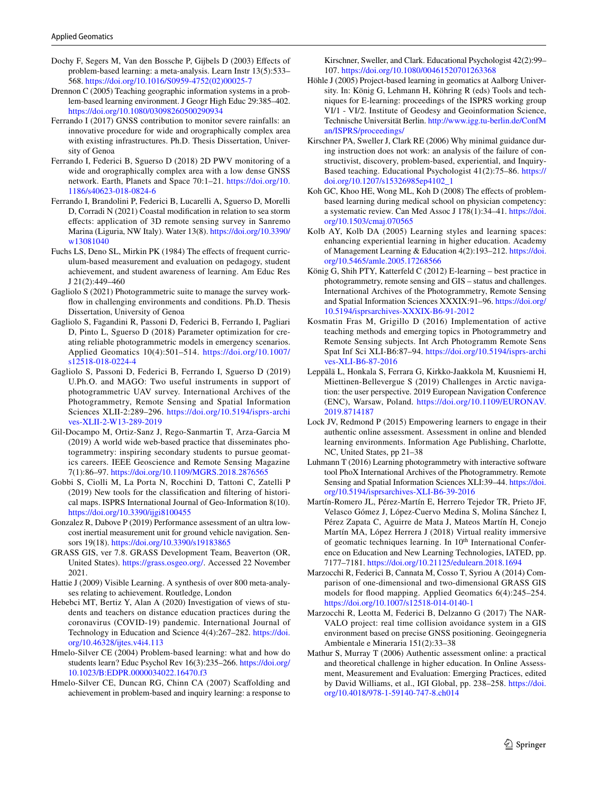- <span id="page-12-22"></span>Dochy F, Segers M, Van den Bossche P, Gijbels D (2003) Efects of problem-based learning: a meta-analysis. Learn Instr 13(5):533– 568. [https://doi.org/10.1016/S0959-4752\(02\)00025-7](https://doi.org/10.1016/S0959-4752(02)00025-7)
- <span id="page-12-21"></span>Drennon C (2005) Teaching geographic information systems in a problem-based learning environment. J Geogr High Educ 29:385–402. <https://doi.org/10.1080/03098260500290934>
- <span id="page-12-15"></span>Ferrando I (2017) GNSS contribution to monitor severe rainfalls: an innovative procedure for wide and orographically complex area with existing infrastructures. Ph.D. Thesis Dissertation, University of Genoa
- <span id="page-12-7"></span>Ferrando I, Federici B, Sguerso D (2018) 2D PWV monitoring of a wide and orographically complex area with a low dense GNSS network. Earth, Planets and Space 70:1–21. [https://doi.org/10.](https://doi.org/10.1186/s40623-018-0824-6) [1186/s40623-018-0824-6](https://doi.org/10.1186/s40623-018-0824-6)
- <span id="page-12-6"></span>Ferrando I, Brandolini P, Federici B, Lucarelli A, Sguerso D, Morelli D, Corradi N (2021) Coastal modifcation in relation to sea storm efects: application of 3D remote sensing survey in Sanremo Marina (Liguria, NW Italy). Water 13(8). [https://doi.org/10.3390/](https://doi.org/10.3390/w13081040) [w13081040](https://doi.org/10.3390/w13081040)
- <span id="page-12-26"></span>Fuchs LS, Deno SL, Mirkin PK (1984) The effects of frequent curriculum-based measurement and evaluation on pedagogy, student achievement, and student awareness of learning. Am Educ Res J 21(2):449–460
- <span id="page-12-16"></span>Gagliolo S (2021) Photogrammetric suite to manage the survey workfow in challenging environments and conditions. Ph.D. Thesis Dissertation, University of Genoa
- <span id="page-12-3"></span>Gagliolo S, Fagandini R, Passoni D, Federici B, Ferrando I, Pagliari D, Pinto L, Sguerso D (2018) Parameter optimization for creating reliable photogrammetric models in emergency scenarios. Applied Geomatics 10(4):501–514. [https://doi.org/10.1007/](https://doi.org/10.1007/s12518-018-0224-4) [s12518-018-0224-4](https://doi.org/10.1007/s12518-018-0224-4)
- <span id="page-12-4"></span>Gagliolo S, Passoni D, Federici B, Ferrando I, Sguerso D (2019) U.Ph.O. and MAGO: Two useful instruments in support of photogrammetric UAV survey. International Archives of the Photogrammetry, Remote Sensing and Spatial Information Sciences XLII-2:289–296. [https://doi.org/10.5194/isprs-archi](https://doi.org/10.5194/isprs-archives-XLII-2-W13-289-2019) [ves-XLII-2-W13-289-2019](https://doi.org/10.5194/isprs-archives-XLII-2-W13-289-2019)
- <span id="page-12-11"></span>Gil-Docampo M, Ortiz-Sanz J, Rego-Sanmartin T, Arza-Garcia M (2019) A world wide web-based practice that disseminates photogrammetry: inspiring secondary students to pursue geomatics careers. IEEE Geoscience and Remote Sensing Magazine 7(1):86–97.<https://doi.org/10.1109/MGRS.2018.2876565>
- <span id="page-12-5"></span>Gobbi S, Ciolli M, La Porta N, Rocchini D, Tattoni C, Zatelli P (2019) New tools for the classifcation and fltering of historical maps. ISPRS International Journal of Geo-Information 8(10). <https://doi.org/10.3390/ijgi8100455>
- <span id="page-12-1"></span>Gonzalez R, Dabove P (2019) Performance assessment of an ultra lowcost inertial measurement unit for ground vehicle navigation. Sensors 19(18).<https://doi.org/10.3390/s19183865>
- GRASS GIS, ver 7.8. GRASS Development Team, Beaverton (OR, United States). [https://grass.osgeo.org/.](https://grass.osgeo.org/) Accessed 22 November 2021.
- <span id="page-12-18"></span>Hattie J (2009) Visible Learning. A synthesis of over 800 meta-analyses relating to achievement. Routledge, London
- <span id="page-12-14"></span>Hebebci MT, Bertiz Y, Alan A (2020) Investigation of views of students and teachers on distance education practices during the coronavirus (COVID-19) pandemic. International Journal of Technology in Education and Science 4(4):267–282. [https://doi.](https://doi.org/10.46328/ijtes.v4i4.113) [org/10.46328/ijtes.v4i4.113](https://doi.org/10.46328/ijtes.v4i4.113)
- <span id="page-12-19"></span>Hmelo-Silver CE (2004) Problem-based learning: what and how do students learn? Educ Psychol Rev 16(3):235–266. [https://doi.org/](https://doi.org/10.1023/B:EDPR.0000034022.16470.f3) [10.1023/B:EDPR.0000034022.16470.f3](https://doi.org/10.1023/B:EDPR.0000034022.16470.f3)
- <span id="page-12-23"></span>Hmelo-Silver CE, Duncan RG, Chinn CA (2007) Scafolding and achievement in problem-based and inquiry learning: a response to

Kirschner, Sweller, and Clark. Educational Psychologist 42(2):99– 107.<https://doi.org/10.1080/00461520701263368>

- <span id="page-12-20"></span>Höhle J (2005) Project-based learning in geomatics at Aalborg University. In: König G, Lehmann H, Köhring R (eds) Tools and techniques for E-learning: proceedings of the ISPRS working group VI/1 - VI/2. Institute of Geodesy and Geoinformation Science, Technische Universität Berlin. [http://www.igg.tu-berlin.de/ConfM](http://www.igg.tu-berlin.de/ConfMan/ISPRS/proceedings/) [an/ISPRS/proceedings/](http://www.igg.tu-berlin.de/ConfMan/ISPRS/proceedings/)
- <span id="page-12-24"></span>Kirschner PA, Sweller J, Clark RE (2006) Why minimal guidance during instruction does not work: an analysis of the failure of constructivist, discovery, problem-based, experiential, and Inquiry-Based teaching. Educational Psychologist 41(2):75–86. [https://](https://doi.org/10.1207/s15326985ep4102_1) [doi.org/10.1207/s15326985ep4102\\_1](https://doi.org/10.1207/s15326985ep4102_1)
- <span id="page-12-25"></span>Koh GC, Khoo HE, Wong ML, Koh D (2008) The effects of problembased learning during medical school on physician competency: a systematic review. Can Med Assoc J 178(1):34–41. [https://doi.](https://doi.org/10.1503/cmaj.070565) [org/10.1503/cmaj.070565](https://doi.org/10.1503/cmaj.070565)
- <span id="page-12-8"></span>Kolb AY, Kolb DA (2005) Learning styles and learning spaces: enhancing experiential learning in higher education. Academy of Management Learning & Education 4(2):193–212. [https://doi.](https://doi.org/10.5465/amle.2005.17268566) [org/10.5465/amle.2005.17268566](https://doi.org/10.5465/amle.2005.17268566)
- <span id="page-12-12"></span>König G, Shih PTY, Katterfeld C (2012) E-learning – best practice in photogrammetry, remote sensing and GIS – status and challenges. International Archives of the Photogrammetry, Remote Sensing and Spatial Information Sciences XXXIX:91–96. [https://doi.org/](https://doi.org/10.5194/isprsarchives-XXXIX-B6-91-2012) [10.5194/isprsarchives-XXXIX-B6-91-2012](https://doi.org/10.5194/isprsarchives-XXXIX-B6-91-2012)
- <span id="page-12-9"></span>Kosmatin Fras M, Grigillo D (2016) Implementation of active teaching methods and emerging topics in Photogrammetry and Remote Sensing subjects. Int Arch Photogramm Remote Sens Spat Inf Sci XLI-B6:87–94. [https://doi.org/10.5194/isprs-archi](https://doi.org/10.5194/isprs-archives-XLI-B6-87-2016) [ves-XLI-B6-87-2016](https://doi.org/10.5194/isprs-archives-XLI-B6-87-2016)
- <span id="page-12-2"></span>Leppälä L, Honkala S, Ferrara G, Kirkko-Jaakkola M, Kuusniemi H, Miettinen-Bellevergue S (2019) Challenges in Arctic navigation: the user perspective. 2019 European Navigation Conference (ENC), Warsaw, Poland. [https://doi.org/10.1109/EURONAV.](https://doi.org/10.1109/EURONAV.2019.8714187) [2019.8714187](https://doi.org/10.1109/EURONAV.2019.8714187)
- <span id="page-12-27"></span>Lock JV, Redmond P (2015) Empowering learners to engage in their authentic online assessment. Assessment in online and blended learning environments. Information Age Publishing, Charlotte, NC, United States, pp 21–38
- <span id="page-12-13"></span>Luhmann T (2016) Learning photogrammetry with interactive software tool PhoX International Archives of the Photogrammetry. Remote Sensing and Spatial Information Sciences XLI:39–44. [https://doi.](https://doi.org/10.5194/isprsarchives-XLI-B6-39-2016) [org/10.5194/isprsarchives-XLI-B6-39-2016](https://doi.org/10.5194/isprsarchives-XLI-B6-39-2016)
- <span id="page-12-10"></span>Martín-Romero JL, Pérez-Martín E, Herrero Tejedor TR, Prieto JF, Velasco Gómez J, López-Cuervo Medina S, Molina Sánchez I, Pérez Zapata C, Aguirre de Mata J, Mateos Martín H, Conejo Martín MA, López Herrera J (2018) Virtual reality immersive of geomatic techniques learning. In 10<sup>th</sup> International Conference on Education and New Learning Technologies, IATED, pp. 7177–7181.<https://doi.org/10.21125/edulearn.2018.1694>
- <span id="page-12-17"></span>Marzocchi R, Federici B, Cannata M, Cosso T, Syriou A (2014) Comparison of one-dimensional and two-dimensional GRASS GIS models for flood mapping. Applied Geomatics 6(4):245–254. <https://doi.org/10.1007/s12518-014-0140-1>
- <span id="page-12-0"></span>Marzocchi R, Leotta M, Federici B, Delzanno G (2017) The NAR-VALO project: real time collision avoidance system in a GIS environment based on precise GNSS positioning. Geoingegneria Ambientale e Mineraria 151(2):33–38
- <span id="page-12-28"></span>Mathur S, Murray T (2006) Authentic assessment online: a practical and theoretical challenge in higher education. In Online Assessment, Measurement and Evaluation: Emerging Practices, edited by David Williams, et al., IGI Global, pp. 238–258. [https://doi.](https://doi.org/10.4018/978-1-59140-747-8.ch014) [org/10.4018/978-1-59140-747-8.ch014](https://doi.org/10.4018/978-1-59140-747-8.ch014)